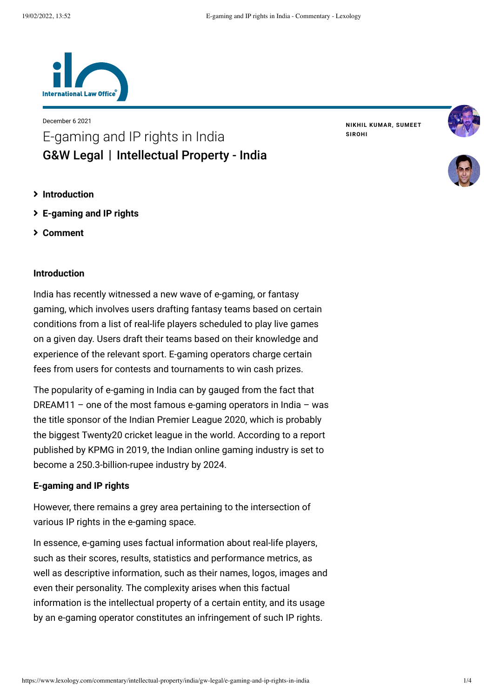

December 6 2021 E-gaming and IP rights in India [G&W Legal](https://www.lexology.com/contributors/1270760) | Intellectual Property - India

**NIKHIL [KUMAR](https://www.lexology.com/1270760/author/Nikhil_Kumar/), [SUMEET](https://www.lexology.com/1270760/author/Sumeet_Sirohi/) SIROHI**





- **[Introduction](#page-0-0)**
- **[E-gaming and IP rights](#page-0-1)**
- **[Comment](#page-2-0)**

# <span id="page-0-0"></span>**Introduction**

India has recently witnessed a new wave of e-gaming, or fantasy gaming, which involves users drafting fantasy teams based on certain conditions from a list of real-life players scheduled to play live games on a given day. Users draft their teams based on their knowledge and experience of the relevant sport. E-gaming operators charge certain fees from users for contests and tournaments to win cash prizes.

The popularity of e-gaming in India can by gauged from the fact that DREAM11 – one of the most famous e-gaming operators in India – was the title sponsor of the Indian Premier League 2020, which is probably the biggest Twenty20 cricket league in the world. According to a report published by KPMG in 2019, the Indian online gaming industry is set to become a 250.3-billion-rupee industry by 2024.

#### <span id="page-0-1"></span>**E-gaming and IP rights**

However, there remains a grey area pertaining to the intersection of various IP rights in the e-gaming space.

In essence, e-gaming uses factual information about real-life players, such as their scores, results, statistics and performance metrics, as well as descriptive information, such as their names, logos, images and even their personality. The complexity arises when this factual information is the intellectual property of a certain entity, and its usage by an e-gaming operator constitutes an infringement of such IP rights.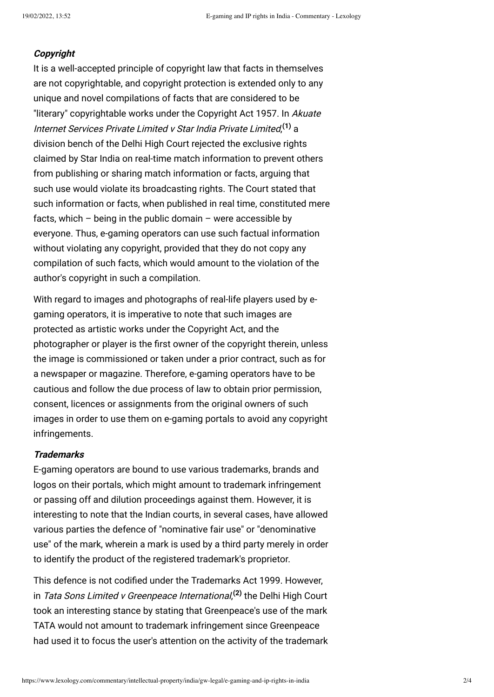### **Copyright**

It is a well-accepted principle of copyright law that facts in themselves are not copyrightable, and copyright protection is extended only to any unique and novel compilations of facts that are considered to be "literary" copyrightable works under the Copyright Act 1957. In Akuate Internet Services Private Limited v Star India Private Limited, **[\(1\)](#page-3-0)** a division bench of the Delhi High Court rejected the exclusive rights claimed by Star India on real-time match information to prevent others from publishing or sharing match information or facts, arguing that such use would violate its broadcasting rights. The Court stated that such information or facts, when published in real time, constituted mere facts, which – being in the public domain – were accessible by everyone. Thus, e-gaming operators can use such factual information without violating any copyright, provided that they do not copy any compilation of such facts, which would amount to the violation of the author's copyright in such a compilation.

With regard to images and photographs of real-life players used by egaming operators, it is imperative to note that such images are protected as artistic works under the Copyright Act, and the photographer or player is the first owner of the copyright therein, unless the image is commissioned or taken under a prior contract, such as for a newspaper or magazine. Therefore, e-gaming operators have to be cautious and follow the due process of law to obtain prior permission, consent, licences or assignments from the original owners of such images in order to use them on e-gaming portals to avoid any copyright infringements.

# **Trademarks**

E-gaming operators are bound to use various trademarks, brands and logos on their portals, which might amount to trademark infringement or passing off and dilution proceedings against them. However, it is interesting to note that the Indian courts, in several cases, have allowed various parties the defence of "nominative fair use" or "denominative use" of the mark, wherein a mark is used by a third party merely in order to identify the product of the registered trademark's proprietor.

This defence is not codified under the Trademarks Act 1999. However, in Tata Sons Limited v Greenpeace International, **[\(2\)](#page-3-1)** the Delhi High Court took an interesting stance by stating that Greenpeace's use of the mark TATA would not amount to trademark infringement since Greenpeace had used it to focus the user's attention on the activity of the trademark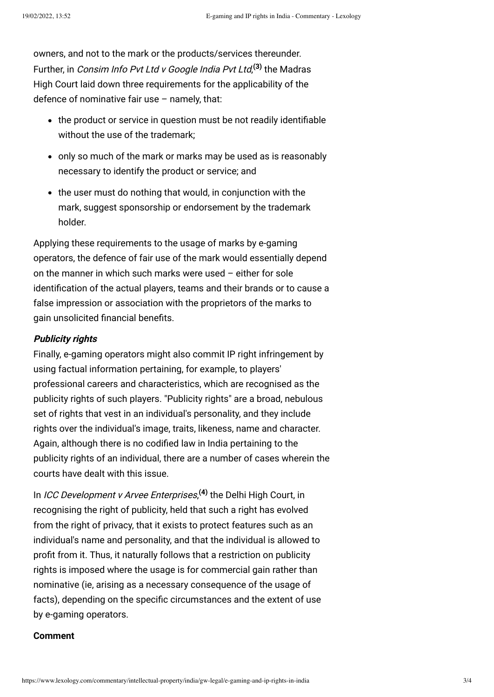owners, and not to the mark or the products/services thereunder. Further, in Consim Info Pvt Ltd v Google India Pvt Ltd, **[\(3\)](#page-3-2)** the Madras High Court laid down three requirements for the applicability of the defence of nominative fair use  $-$  namely, that:

- the product or service in question must be not readily identifiable without the use of the trademark;
- only so much of the mark or marks may be used as is reasonably necessary to identify the product or service; and
- the user must do nothing that would, in conjunction with the mark, suggest sponsorship or endorsement by the trademark holder.

Applying these requirements to the usage of marks by e-gaming operators, the defence of fair use of the mark would essentially depend on the manner in which such marks were used – either for sole identification of the actual players, teams and their brands or to cause a false impression or association with the proprietors of the marks to gain unsolicited financial benefits.

# **Publicity rights**

Finally, e-gaming operators might also commit IP right infringement by using factual information pertaining, for example, to players' professional careers and characteristics, which are recognised as the publicity rights of such players. "Publicity rights" are a broad, nebulous set of rights that vest in an individual's personality, and they include rights over the individual's image, traits, likeness, name and character. Again, although there is no codified law in India pertaining to the publicity rights of an individual, there are a number of cases wherein the courts have dealt with this issue.

In ICC Development v Arvee Enterprises, **[\(4\)](#page-3-3)** the Delhi High Court, in recognising the right of publicity, held that such a right has evolved from the right of privacy, that it exists to protect features such as an individual's name and personality, and that the individual is allowed to profit from it. Thus, it naturally follows that a restriction on publicity rights is imposed where the usage is for commercial gain rather than nominative (ie, arising as a necessary consequence of the usage of facts), depending on the specific circumstances and the extent of use by e-gaming operators.

### <span id="page-2-0"></span>**Comment**